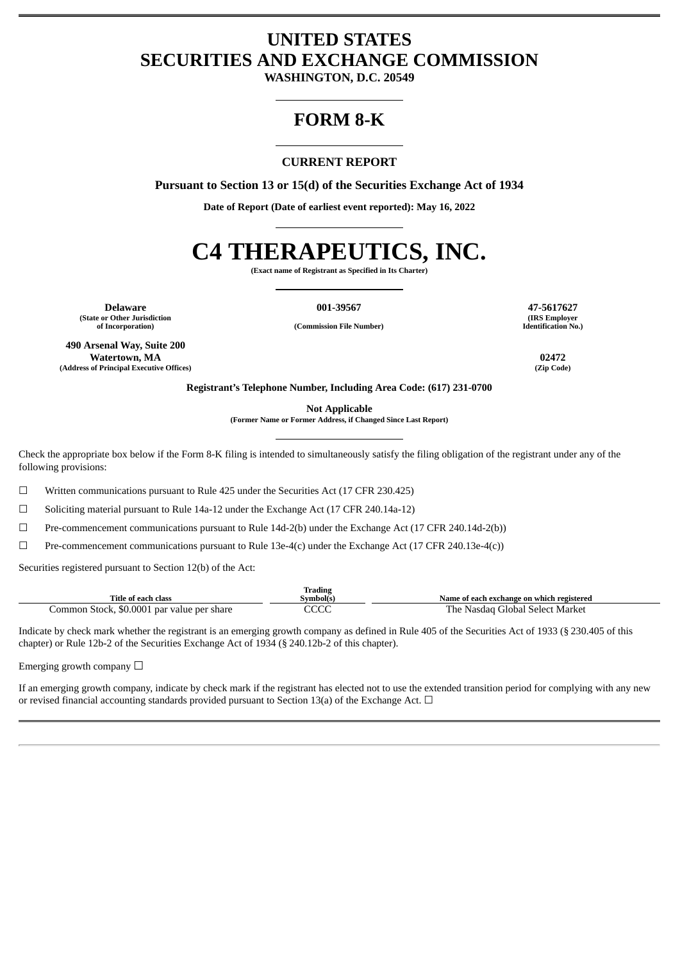# **UNITED STATES SECURITIES AND EXCHANGE COMMISSION**

**WASHINGTON, D.C. 20549**

# **FORM 8-K**

# **CURRENT REPORT**

**Pursuant to Section 13 or 15(d) of the Securities Exchange Act of 1934**

**Date of Report (Date of earliest event reported): May 16, 2022**

# **C4 THERAPEUTICS, INC.**

**(Exact name of Registrant as Specified in Its Charter)**

**of Incorporation) (Commission File Number)**

**Delaware 001-39567 47-5617627 (State or Other Jurisdiction**

**490 Arsenal Way, Suite 200 Watertown, MA 02472 (Address of Principal Executive Offices) (Zip Code)**

**(IRS Employer Identification No.)**

**Registrant's Telephone Number, Including Area Code: (617) 231-0700**

**Not Applicable**

**(Former Name or Former Address, if Changed Since Last Report)**

Check the appropriate box below if the Form 8-K filing is intended to simultaneously satisfy the filing obligation of the registrant under any of the following provisions:

☐ Written communications pursuant to Rule 425 under the Securities Act (17 CFR 230.425)

 $\Box$  Soliciting material pursuant to Rule 14a-12 under the Exchange Act (17 CFR 240.14a-12)

☐ Pre-commencement communications pursuant to Rule 14d-2(b) under the Exchange Act (17 CFR 240.14d-2(b))

☐ Pre-commencement communications pursuant to Rule 13e-4(c) under the Exchange Act (17 CFR 240.13e-4(c))

Securities registered pursuant to Section 12(b) of the Act:

|                                            | <b>Trading</b> |                                           |
|--------------------------------------------|----------------|-------------------------------------------|
| Title of each class                        | švmbol(s)      | Name of each exchange on which registered |
| Common Stock, \$0.0001 par value per share | cccc<br>しししし   | The<br>∙ Nasdag Global Select Market      |

Indicate by check mark whether the registrant is an emerging growth company as defined in Rule 405 of the Securities Act of 1933 (§ 230.405 of this chapter) or Rule 12b-2 of the Securities Exchange Act of 1934 (§ 240.12b-2 of this chapter).

Emerging growth company  $\Box$ 

If an emerging growth company, indicate by check mark if the registrant has elected not to use the extended transition period for complying with any new or revised financial accounting standards provided pursuant to Section 13(a) of the Exchange Act.  $\Box$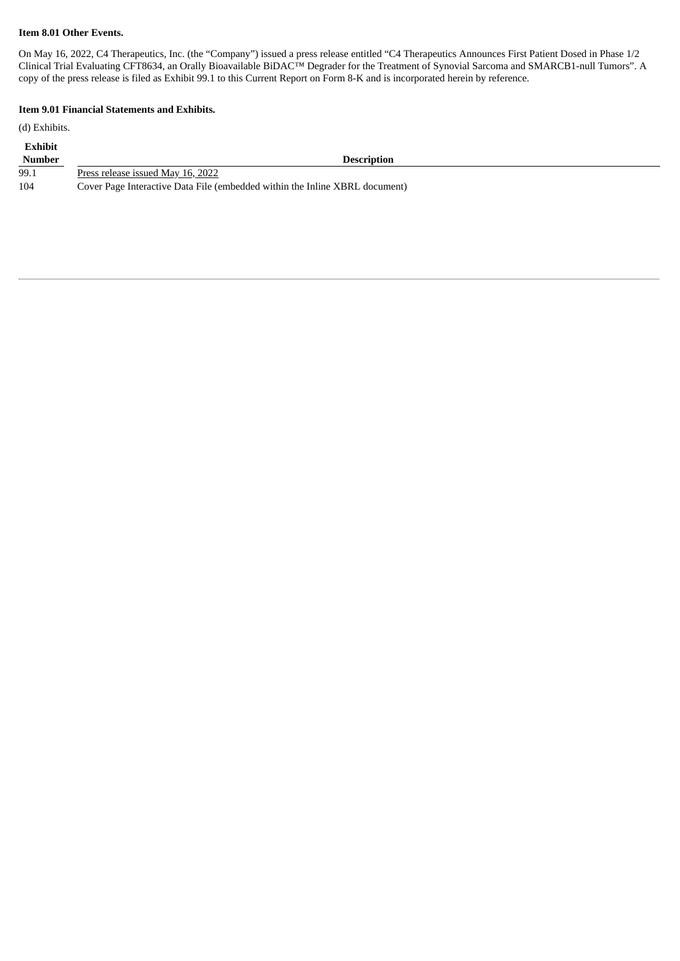### **Item 8.01 Other Events.**

On May 16, 2022, C4 Therapeutics, Inc. (the "Company") issued a press release entitled "C4 Therapeutics Announces First Patient Dosed in Phase 1/2 Clinical Trial Evaluating CFT8634, an Orally Bioavailable BiDAC™ Degrader for the Treatment of Synovial Sarcoma and SMARCB1-null Tumors". A copy of the press release is filed as Exhibit 99.1 to this Current Report on Form 8-K and is incorporated herein by reference.

#### **Item 9.01 Financial Statements and Exhibits.**

(d) Exhibits.

| <b>Exhibit</b> |                                                                             |
|----------------|-----------------------------------------------------------------------------|
| <b>Number</b>  | <b>Description</b>                                                          |
| 99.1           | Press release issued May 16, 2022                                           |
| 104            | Cover Page Interactive Data File (embedded within the Inline XBRL document) |
|                |                                                                             |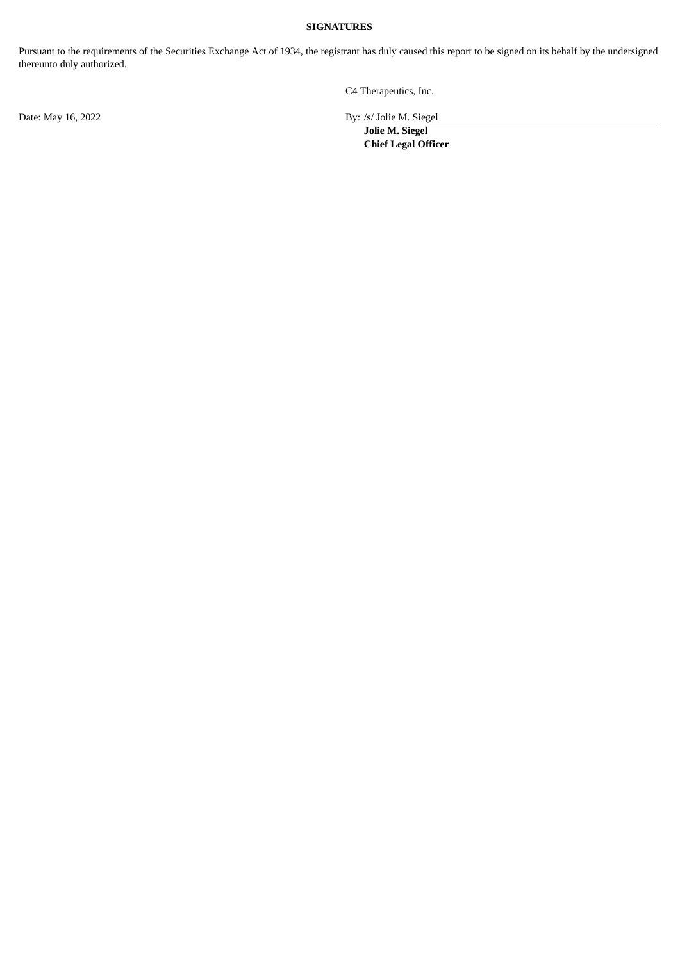#### **SIGNATURES**

Pursuant to the requirements of the Securities Exchange Act of 1934, the registrant has duly caused this report to be signed on its behalf by the undersigned thereunto duly authorized.

Date: May 16, 2022 By: /s/ Jolie M. Siegel

C4 Therapeutics, Inc.

**Jolie M. Siegel Chief Legal Officer**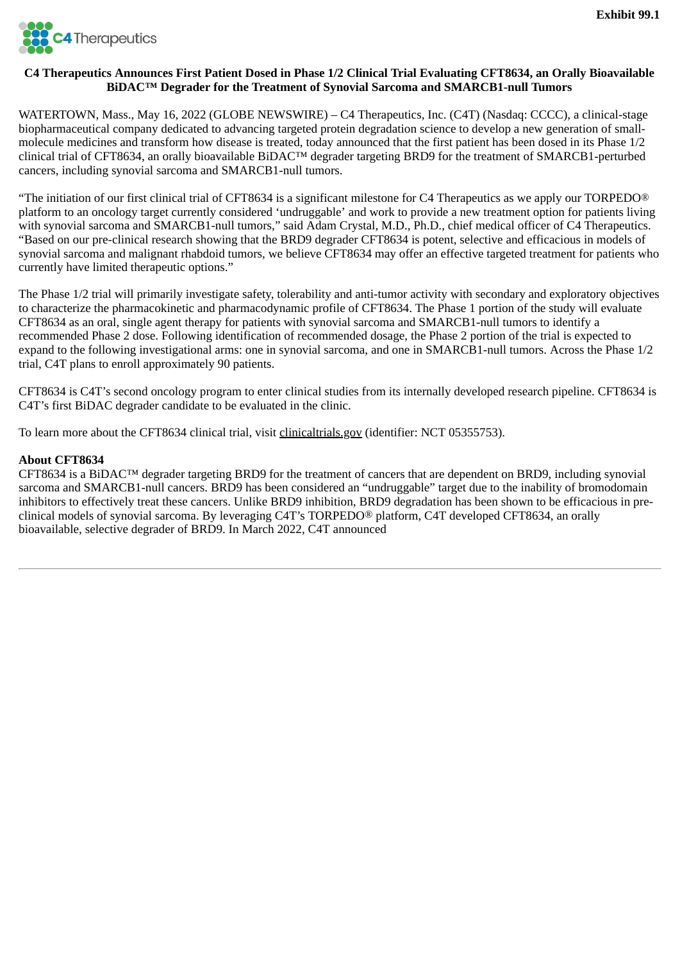<span id="page-3-0"></span>

# **C4 Therapeutics Announces First Patient Dosed in Phase 1/2 Clinical Trial Evaluating CFT8634, an Orally Bioavailable BiDAC™ Degrader for the Treatment of Synovial Sarcoma and SMARCB1-null Tumors**

WATERTOWN, Mass., May 16, 2022 (GLOBE NEWSWIRE) – C4 Therapeutics, Inc. (C4T) (Nasdaq: CCCC), a clinical-stage biopharmaceutical company dedicated to advancing targeted protein degradation science to develop a new generation of smallmolecule medicines and transform how disease is treated, today announced that the first patient has been dosed in its Phase 1/2 clinical trial of CFT8634, an orally bioavailable BiDAC™ degrader targeting BRD9 for the treatment of SMARCB1-perturbed cancers, including synovial sarcoma and SMARCB1-null tumors.

"The initiation of our first clinical trial of CFT8634 is a significant milestone for C4 Therapeutics as we apply our TORPEDO® platform to an oncology target currently considered 'undruggable' and work to provide a new treatment option for patients living with synovial sarcoma and SMARCB1-null tumors," said Adam Crystal, M.D., Ph.D., chief medical officer of C4 Therapeutics. "Based on our pre-clinical research showing that the BRD9 degrader CFT8634 is potent, selective and efficacious in models of synovial sarcoma and malignant rhabdoid tumors, we believe CFT8634 may offer an effective targeted treatment for patients who currently have limited therapeutic options."

The Phase 1/2 trial will primarily investigate safety, tolerability and anti-tumor activity with secondary and exploratory objectives to characterize the pharmacokinetic and pharmacodynamic profile of CFT8634. The Phase 1 portion of the study will evaluate CFT8634 as an oral, single agent therapy for patients with synovial sarcoma and SMARCB1-null tumors to identify a recommended Phase 2 dose. Following identification of recommended dosage, the Phase 2 portion of the trial is expected to expand to the following investigational arms: one in synovial sarcoma, and one in SMARCB1-null tumors. Across the Phase 1/2 trial, C4T plans to enroll approximately 90 patients.

CFT8634 is C4T's second oncology program to enter clinical studies from its internally developed research pipeline. CFT8634 is C4T's first BiDAC degrader candidate to be evaluated in the clinic.

To learn more about the CFT8634 clinical trial, visit clinicaltrials.gov (identifier: NCT 05355753).

## **About CFT8634**

 $CFT8634$  is a BiDAC<sup>™</sup> degrader targeting BRD9 for the treatment of cancers that are dependent on BRD9, including synovial sarcoma and SMARCB1-null cancers. BRD9 has been considered an "undruggable" target due to the inability of bromodomain inhibitors to effectively treat these cancers. Unlike BRD9 inhibition, BRD9 degradation has been shown to be efficacious in preclinical models of synovial sarcoma. By leveraging C4T's TORPEDO® platform, C4T developed CFT8634, an orally bioavailable, selective degrader of BRD9. In March 2022, C4T announced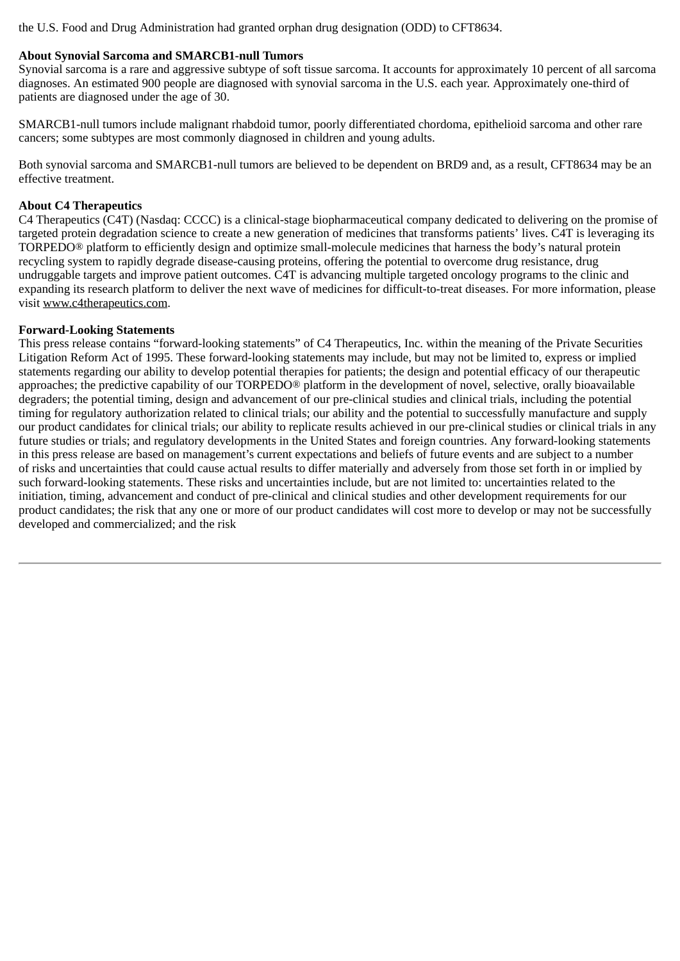the U.S. Food and Drug Administration had granted orphan drug designation (ODD) to CFT8634.

# **About Synovial Sarcoma and SMARCB1-null Tumors**

Synovial sarcoma is a rare and aggressive subtype of soft tissue sarcoma. It accounts for approximately 10 percent of all sarcoma diagnoses. An estimated 900 people are diagnosed with synovial sarcoma in the U.S. each year. Approximately one-third of patients are diagnosed under the age of 30.

SMARCB1-null tumors include malignant rhabdoid tumor, poorly differentiated chordoma, epithelioid sarcoma and other rare cancers; some subtypes are most commonly diagnosed in children and young adults.

Both synovial sarcoma and SMARCB1-null tumors are believed to be dependent on BRD9 and, as a result, CFT8634 may be an effective treatment.

# **About C4 Therapeutics**

C4 Therapeutics (C4T) (Nasdaq: CCCC) is a clinical-stage biopharmaceutical company dedicated to delivering on the promise of targeted protein degradation science to create a new generation of medicines that transforms patients' lives. C4T is leveraging its TORPEDO® platform to efficiently design and optimize small-molecule medicines that harness the body's natural protein recycling system to rapidly degrade disease-causing proteins, offering the potential to overcome drug resistance, drug undruggable targets and improve patient outcomes. C4T is advancing multiple targeted oncology programs to the clinic and expanding its research platform to deliver the next wave of medicines for difficult-to-treat diseases. For more information, please visit www.c4therapeutics.com.

# **Forward-Looking Statements**

This press release contains "forward-looking statements" of C4 Therapeutics, Inc. within the meaning of the Private Securities Litigation Reform Act of 1995. These forward-looking statements may include, but may not be limited to, express or implied statements regarding our ability to develop potential therapies for patients; the design and potential efficacy of our therapeutic approaches; the predictive capability of our TORPEDO® platform in the development of novel, selective, orally bioavailable degraders; the potential timing, design and advancement of our pre-clinical studies and clinical trials, including the potential timing for regulatory authorization related to clinical trials; our ability and the potential to successfully manufacture and supply our product candidates for clinical trials; our ability to replicate results achieved in our pre-clinical studies or clinical trials in any future studies or trials; and regulatory developments in the United States and foreign countries. Any forward-looking statements in this press release are based on management's current expectations and beliefs of future events and are subject to a number of risks and uncertainties that could cause actual results to differ materially and adversely from those set forth in or implied by such forward-looking statements. These risks and uncertainties include, but are not limited to: uncertainties related to the initiation, timing, advancement and conduct of pre-clinical and clinical studies and other development requirements for our product candidates; the risk that any one or more of our product candidates will cost more to develop or may not be successfully developed and commercialized; and the risk